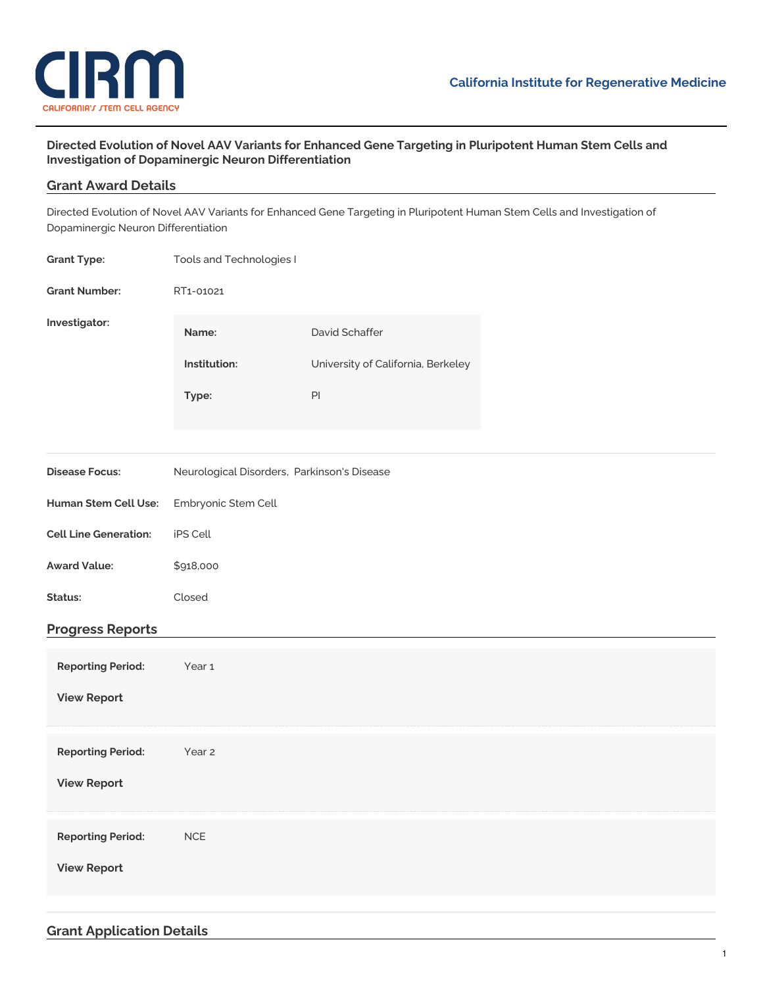

## **Directed Evolution of Novel AAV Variants for Enhanced Gene Targeting in Pluripotent Human Stem Cells and Investigation of Dopaminergic Neuron Differentiation**

## **Grant Award Details**

Directed Evolution of Novel AAV Variants for Enhanced Gene Targeting in Pluripotent Human Stem Cells and Investigation of Dopaminergic Neuron Differentiation

| <b>Grant Type:</b>                             | Tools and Technologies I                    |                                                                       |  |
|------------------------------------------------|---------------------------------------------|-----------------------------------------------------------------------|--|
| <b>Grant Number:</b>                           | RT1-01021                                   |                                                                       |  |
| Investigator:                                  | Name:<br>Institution:<br>Type:              | David Schaffer<br>University of California, Berkeley<br>$\mathsf{Pl}$ |  |
| <b>Disease Focus:</b>                          | Neurological Disorders, Parkinson's Disease |                                                                       |  |
| Human Stem Cell Use:                           | Embryonic Stem Cell                         |                                                                       |  |
| <b>Cell Line Generation:</b>                   | iPS Cell                                    |                                                                       |  |
| <b>Award Value:</b>                            | \$918,000                                   |                                                                       |  |
| Status:                                        | Closed                                      |                                                                       |  |
| <b>Progress Reports</b>                        |                                             |                                                                       |  |
| <b>Reporting Period:</b><br><b>View Report</b> | Year 1                                      |                                                                       |  |
| <b>Reporting Period:</b><br><b>View Report</b> | Year 2                                      |                                                                       |  |
| <b>Reporting Period:</b><br><b>View Report</b> | $NCE$                                       |                                                                       |  |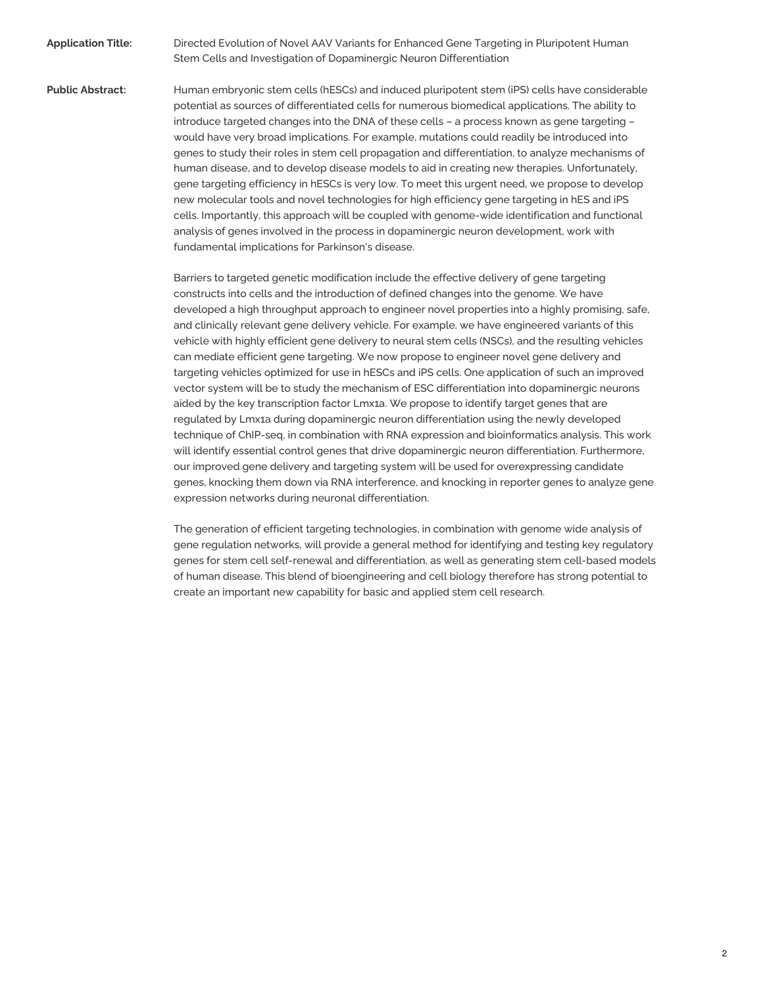**Application Title:** Directed Evolution of Novel AAV Variants for Enhanced Gene Targeting in Pluripotent Human Stem Cells and Investigation of Dopaminergic Neuron Differentiation

**Public Abstract:** Human embryonic stem cells (hESCs) and induced pluripotent stem (iPS) cells have considerable potential as sources of differentiated cells for numerous biomedical applications. The ability to introduce targeted changes into the DNA of these cells – a process known as gene targeting – would have very broad implications. For example, mutations could readily be introduced into genes to study their roles in stem cell propagation and differentiation, to analyze mechanisms of human disease, and to develop disease models to aid in creating new therapies. Unfortunately, gene targeting efficiency in hESCs is very low. To meet this urgent need, we propose to develop new molecular tools and novel technologies for high efficiency gene targeting in hES and iPS cells. Importantly, this approach will be coupled with genome-wide identification and functional analysis of genes involved in the process in dopaminergic neuron development, work with fundamental implications for Parkinson's disease.

> Barriers to targeted genetic modification include the effective delivery of gene targeting constructs into cells and the introduction of defined changes into the genome. We have developed a high throughput approach to engineer novel properties into a highly promising, safe, and clinically relevant gene delivery vehicle. For example, we have engineered variants of this vehicle with highly efficient gene delivery to neural stem cells (NSCs), and the resulting vehicles can mediate efficient gene targeting. We now propose to engineer novel gene delivery and targeting vehicles optimized for use in hESCs and iPS cells. One application of such an improved vector system will be to study the mechanism of ESC differentiation into dopaminergic neurons aided by the key transcription factor Lmx1a. We propose to identify target genes that are regulated by Lmx1a during dopaminergic neuron differentiation using the newly developed technique of ChIP-seq, in combination with RNA expression and bioinformatics analysis. This work will identify essential control genes that drive dopaminergic neuron differentiation. Furthermore, our improved gene delivery and targeting system will be used for overexpressing candidate genes, knocking them down via RNA interference, and knocking in reporter genes to analyze gene expression networks during neuronal differentiation.

> The generation of efficient targeting technologies, in combination with genome wide analysis of gene regulation networks, will provide a general method for identifying and testing key regulatory genes for stem cell self-renewal and differentiation, as well as generating stem cell-based models of human disease. This blend of bioengineering and cell biology therefore has strong potential to create an important new capability for basic and applied stem cell research.